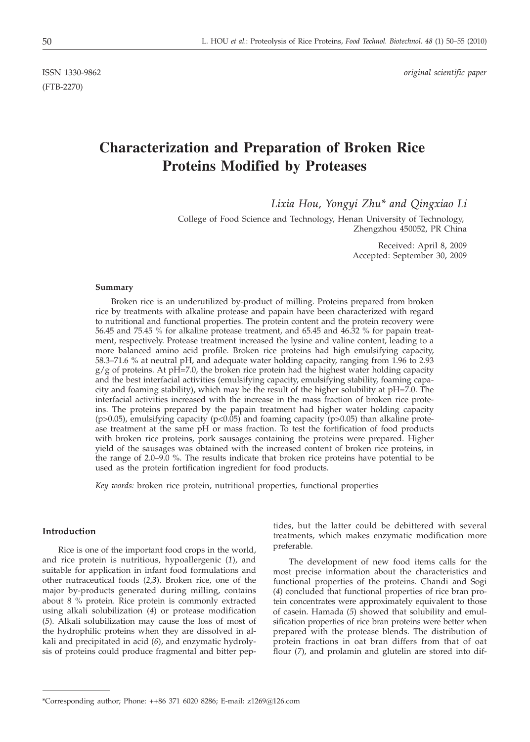(FTB-2270)

ISSN 1330-9862 *original scientific paper*

# **Characterization and Preparation of Broken Rice Proteins Modified by Proteases**

*Lixia Hou, Yongyi Zhu\* and Qingxiao Li*

College of Food Science and Technology, Henan University of Technology, Zhengzhou 450052, PR China

> Received: April 8, 2009 Accepted: September 30, 2009

## **Summary**

Broken rice is an underutilized by-product of milling. Proteins prepared from broken rice by treatments with alkaline protease and papain have been characterized with regard to nutritional and functional properties. The protein content and the protein recovery were 56.45 and 75.45 % for alkaline protease treatment, and 65.45 and 46.32 % for papain treatment, respectively. Protease treatment increased the lysine and valine content, leading to a more balanced amino acid profile. Broken rice proteins had high emulsifying capacity, 58.3–71.6 % at neutral pH, and adequate water holding capacity, ranging from 1.96 to 2.93  $g/g$  of proteins. At pH=7.0, the broken rice protein had the highest water holding capacity and the best interfacial activities (emulsifying capacity, emulsifying stability, foaming capacity and foaming stability), which may be the result of the higher solubility at pH=7.0. The interfacial activities increased with the increase in the mass fraction of broken rice proteins. The proteins prepared by the papain treatment had higher water holding capacity ( $p$ >0.05), emulsifying capacity ( $p$ <0.05) and foaming capacity ( $p$ >0.05) than alkaline protease treatment at the same pH or mass fraction. To test the fortification of food products with broken rice proteins, pork sausages containing the proteins were prepared. Higher yield of the sausages was obtained with the increased content of broken rice proteins, in the range of 2.0–9.0 %. The results indicate that broken rice proteins have potential to be used as the protein fortification ingredient for food products.

*Key words:* broken rice protein, nutritional properties, functional properties

# **Introduction**

Rice is one of the important food crops in the world, and rice protein is nutritious, hypoallergenic (*1*), and suitable for application in infant food formulations and other nutraceutical foods (*2,3*). Broken rice, one of the major by-products generated during milling, contains about 8 % protein. Rice protein is commonly extracted using alkali solubilization (*4*) or protease modification (*5*). Alkali solubilization may cause the loss of most of the hydrophilic proteins when they are dissolved in alkali and precipitated in acid (*6*), and enzymatic hydrolysis of proteins could produce fragmental and bitter pep-

tides, but the latter could be debittered with several treatments, which makes enzymatic modification more preferable.

The development of new food items calls for the most precise information about the characteristics and functional properties of the proteins. Chandi and Sogi (*4*) concluded that functional properties of rice bran protein concentrates were approximately equivalent to those of casein. Hamada (*5*) showed that solubility and emulsification properties of rice bran proteins were better when prepared with the protease blends. The distribution of protein fractions in oat bran differs from that of oat flour (*7*), and prolamin and glutelin are stored into dif-

<sup>\*</sup>Corresponding author; Phone: ++86 371 6020 8286; E-mail: z1269@126.com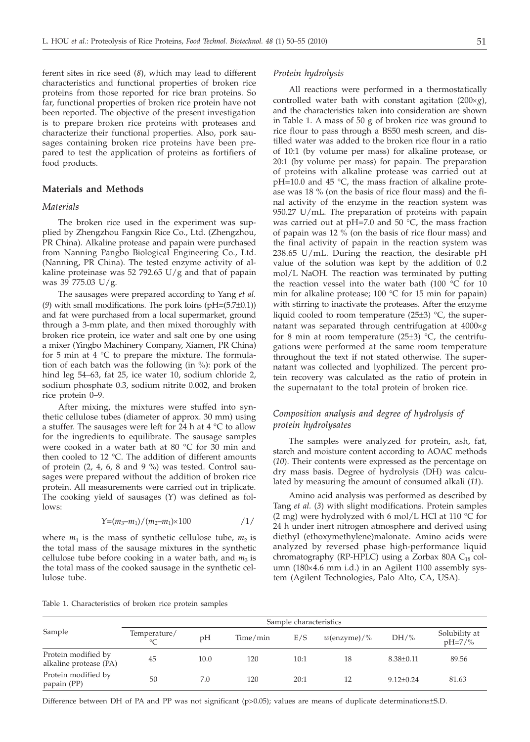ferent sites in rice seed (*8*), which may lead to different characteristics and functional properties of broken rice proteins from those reported for rice bran proteins. So far, functional properties of broken rice protein have not been reported. The objective of the present investigation is to prepare broken rice proteins with proteases and characterize their functional properties. Also, pork sausages containing broken rice proteins have been prepared to test the application of proteins as fortifiers of food products.

# **Materials and Methods**

#### *Materials*

The broken rice used in the experiment was supplied by Zhengzhou Fangxin Rice Co., Ltd. (Zhengzhou, PR China). Alkaline protease and papain were purchased from Nanning Pangbo Biological Engineering Co., Ltd. (Nanning, PR China). The tested enzyme activity of alkaline proteinase was 52 792.65 U/g and that of papain was 39 775.03 U/g.

The sausages were prepared according to Yang *et al.* (*9*) with small modifications. The pork loins (pH=(5.7±0.1)) and fat were purchased from a local supermarket, ground through a 3-mm plate, and then mixed thoroughly with broken rice protein, ice water and salt one by one using a mixer (Yingbo Machinery Company, Xiamen, PR China) for 5 min at 4  $\degree$ C to prepare the mixture. The formulation of each batch was the following (in %): pork of the hind leg 54–63, fat 25, ice water 10, sodium chloride 2, sodium phosphate 0.3, sodium nitrite 0.002, and broken rice protein 0–9.

After mixing, the mixtures were stuffed into synthetic cellulose tubes (diameter of approx. 30 mm) using a stuffer. The sausages were left for 24 h at  $4 \degree C$  to allow for the ingredients to equilibrate. The sausage samples were cooked in a water bath at 80 °C for 30 min and then cooled to 12 °C. The addition of different amounts of protein (2, 4, 6, 8 and 9 %) was tested. Control sausages were prepared without the addition of broken rice protein. All measurements were carried out in triplicate. The cooking yield of sausages (*Y*) was defined as follows:

$$
Y=(m_3-m_1)/(m_2-m_1)\times 100 \qquad \qquad /1/
$$

where  $m_1$  is the mass of synthetic cellulose tube,  $m_2$  is the total mass of the sausage mixtures in the synthetic cellulose tube before cooking in a water bath, and  $m_3$  is the total mass of the cooked sausage in the synthetic cellulose tube.

## *Protein hydrolysis*

All reactions were performed in a thermostatically controlled water bath with constant agitation  $(200 \times g)$ , and the characteristics taken into consideration are shown in Table 1. A mass of 50 g of broken rice was ground to rice flour to pass through a BS50 mesh screen, and distilled water was added to the broken rice flour in a ratio of 10:1 (by volume per mass) for alkaline protease, or 20:1 (by volume per mass) for papain. The preparation of proteins with alkaline protease was carried out at pH=10.0 and 45 °C, the mass fraction of alkaline protease was 18 % (on the basis of rice flour mass) and the final activity of the enzyme in the reaction system was 950.27 U/mL. The preparation of proteins with papain was carried out at pH=7.0 and 50  $^{\circ}$ C, the mass fraction of papain was 12 % (on the basis of rice flour mass) and the final activity of papain in the reaction system was 238.65 U/mL. During the reaction, the desirable pH value of the solution was kept by the addition of 0.2 mol/L NaOH. The reaction was terminated by putting the reaction vessel into the water bath (100 °C for 10 min for alkaline protease; 100 °C for 15 min for papain) with stirring to inactivate the proteases. After the enzyme liquid cooled to room temperature (25±3) °C, the supernatant was separated through centrifugation at 4000´*<sup>g</sup>* for 8 min at room temperature  $(25±3)$  °C, the centrifugations were performed at the same room temperature throughout the text if not stated otherwise. The supernatant was collected and lyophilized. The percent protein recovery was calculated as the ratio of protein in the supernatant to the total protein of broken rice.

# *Composition analysis and degree of hydrolysis of protein hydrolysates*

The samples were analyzed for protein, ash, fat, starch and moisture content according to AOAC methods (*10*). Their contents were expressed as the percentage on dry mass basis. Degree of hydrolysis (DH) was calculated by measuring the amount of consumed alkali (*11*).

Amino acid analysis was performed as described by Tang *et al.* (*3*) with slight modifications. Protein samples (2 mg) were hydrolyzed with 6 mol/L HCl at 110  $\degree$ C for 24 h under inert nitrogen atmosphere and derived using diethyl (ethoxymethylene)malonate. Amino acids were analyzed by reversed phase high-performance liquid chromatography (RP-HPLC) using a Zorbax 80A  $C_{18}$  column (180×4.6 mm i.d.) in an Agilent 1100 assembly system (Agilent Technologies, Palo Alto, CA, USA).

Table 1. Characteristics of broken rice protein samples

|                                               | Sample characteristics  |      |          |      |                |                 |                            |  |  |
|-----------------------------------------------|-------------------------|------|----------|------|----------------|-----------------|----------------------------|--|--|
| Sample                                        | Temperature/<br>$\circ$ | pH   | Time/min | E/S  | $w$ (enzyme)/% | $DH/\%$         | Solubility at<br>$pH=7/\%$ |  |  |
| Protein modified by<br>alkaline protease (PA) | 45                      | 10.0 | 120      | 10:1 | 18             | $8.38 \pm 0.11$ | 89.56                      |  |  |
| Protein modified by<br>papain (PP)            | 50                      | 7.0  | 120      | 20:1 | 12             | $9.12 + 0.24$   | 81.63                      |  |  |

Difference between DH of PA and PP was not significant (p>0.05); values are means of duplicate determinations±S.D.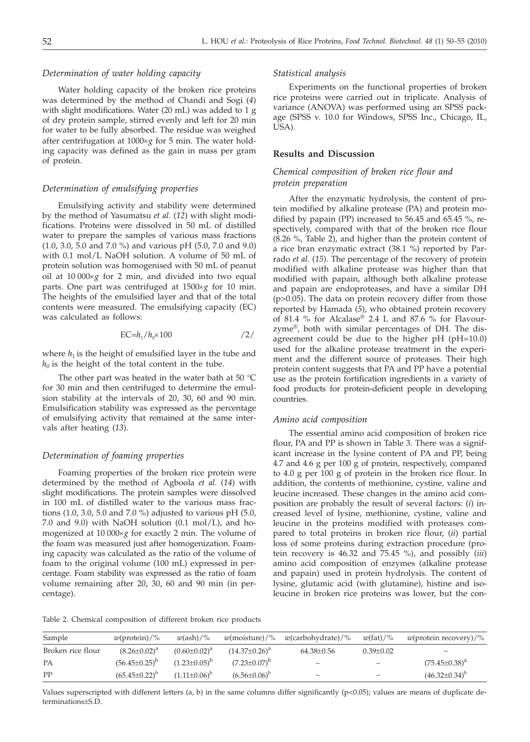## *Determination of water holding capacity*

Water holding capacity of the broken rice proteins was determined by the method of Chandi and Sogi (*4*) with slight modifications. Water (20 mL) was added to 1 g of dry protein sample, stirred evenly and left for 20 min for water to be fully absorbed. The residue was weighed after centrifugation at  $1000 \times g$  for 5 min. The water holding capacity was defined as the gain in mass per gram of protein.

# *Determination of emulsifying properties*

Emulsifying activity and stability were determined by the method of Yasumatsu *et al.* (*12*) with slight modifications. Proteins were dissolved in 50 mL of distilled water to prepare the samples of various mass fractions (1.0, 3.0, 5.0 and 7.0 %) and various pH (5.0, 7.0 and 9.0) with 0.1 mol/L NaOH solution. A volume of 50 mL of protein solution was homogenised with 50 mL of peanut oil at  $10\,000\times g$  for 2 min, and divided into two equal parts. One part was centrifuged at  $1500 \times g$  for 10 min. The heights of the emulsified layer and that of the total contents were measured. The emulsifying capacity (EC) was calculated as follows:

$$
EC = h_1/h_0 \times 100 \tag{2}
$$

where  $h_1$  is the height of emulsified layer in the tube and  $h_0$  is the height of the total content in the tube.

The other part was heated in the water bath at 50 °C for 30 min and then centrifuged to determine the emulsion stability at the intervals of 20, 30, 60 and 90 min. Emulsification stability was expressed as the percentage of emulsifying activity that remained at the same intervals after heating (*13*).

#### *Determination of foaming properties*

Foaming properties of the broken rice protein were determined by the method of Agboola *et al.* (*14*) with slight modifications. The protein samples were dissolved in 100 mL of distilled water to the various mass fractions (1.0, 3.0, 5.0 and 7.0 %) adjusted to various pH (5.0, 7.0 and 9.0) with NaOH solution  $(0.1 \text{ mol/L})$ , and homogenized at  $10\,000\times g$  for exactly 2 min. The volume of the foam was measured just after homogenization. Foaming capacity was calculated as the ratio of the volume of foam to the original volume (100 mL) expressed in percentage. Foam stability was expressed as the ratio of foam volume remaining after 20, 30, 60 and 90 min (in percentage).

#### *Statistical analysis*

Experiments on the functional properties of broken rice proteins were carried out in triplicate. Analysis of variance (ANOVA) was performed using an SPSS package (SPSS v. 10.0 for Windows, SPSS Inc., Chicago, IL, USA).

# **Results and Discussion**

# *Chemical composition of broken rice flour and protein preparation*

After the enzymatic hydrolysis, the content of protein modified by alkaline protease (PA) and protein modified by papain (PP) increased to 56.45 and 65.45 %, respectively, compared with that of the broken rice flour (8.26 %, Table 2), and higher than the protein content of a rice bran enzymatic extract (38.1 %) reported by Parrado *et al.* (*15*). The percentage of the recovery of protein modified with alkaline protease was higher than that modified with papain, although both alkaline protease and papain are endoproteases, and have a similar DH (p>0.05). The data on protein recovery differ from those reported by Hamada (*5*), who obtained protein recovery of 81.4 % for Alcalase® 2.4 L and 87.6 % for Flavourzyme®, both with similar percentages of DH. The disagreement could be due to the higher pH (pH=10.0) used for the alkaline protease treatment in the experiment and the different source of proteases. Their high protein content suggests that PA and PP have a potential use as the protein fortification ingredients in a variety of food products for protein-deficient people in developing countries.

#### *Amino acid composition*

The essential amino acid composition of broken rice flour, PA and PP is shown in Table 3. There was a significant increase in the lysine content of PA and PP, being 4.7 and 4.6 g per 100 g of protein, respectively, compared to 4.0 g per 100 g of protein in the broken rice flour. In addition, the contents of methionine, cystine, valine and leucine increased. These changes in the amino acid composition are probably the result of several factors: (*i*) increased level of lysine, methionine, cystine, valine and leucine in the proteins modified with proteases compared to total proteins in broken rice flour, (*ii*) partial loss of some proteins during extraction procedure (protein recovery is 46.32 and 75.45 %), and possibly (*iii*) amino acid composition of enzymes (alkaline protease and papain) used in protein hydrolysis. The content of lysine, glutamic acid (with glutamine), histine and isoleucine in broken rice proteins was lower, but the con-

Table 2. Chemical composition of different broken rice products

| Sample            | $w(\text{protein})/\%$ | $w(\text{ash})/$ %  | $w$ (moisture)/%     | w(carbohydrate)/%        | $w(\text{fat})/$ % | $w$ (protein recovery)/% |
|-------------------|------------------------|---------------------|----------------------|--------------------------|--------------------|--------------------------|
| Broken rice flour | $(8.26 \pm 0.02)^a$    | $(0.60 \pm 0.02)^a$ | $(14.37 \pm 0.26)^a$ | 64.38±0.56               | $0.39 \pm 0.02$    | $\overline{\phantom{0}}$ |
| PА                | $(56.45 \pm 0.25)^b$   | $(1.23 \pm 0.05)^b$ | $(7.23 \pm 0.07)^b$  | $\overline{\phantom{m}}$ |                    | $(75.45 \pm 0.38)^a$     |
| PP                | $(65.45\pm0.22)^b$     | $(1.11+0.06)^{b}$   | $(6.56 \pm 0.06)^b$  | $\overline{\phantom{0}}$ |                    | $(46.32\pm0.34)^{b}$     |

Values superscripted with different letters (a, b) in the same columns differ significantly ( $p<0.05$ ); values are means of duplicate determinations±S.D.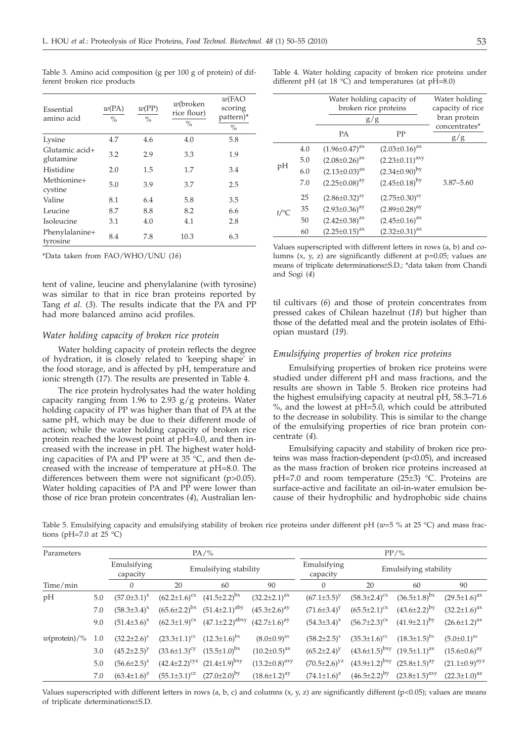| Essential<br>amino acid     | w(PA)<br>$\frac{0}{0}$ | w(PP)<br>$\frac{0}{0}$ | $w$ (broken<br>rice flour)<br>$\%$ | $w$ (FAO<br>scoring<br>pattern)*<br>$\frac{0}{0}$ |
|-----------------------------|------------------------|------------------------|------------------------------------|---------------------------------------------------|
| Lysine                      | 4.7                    | 4.6                    | 4.0                                | 5.8                                               |
| Glutamic acid+<br>glutamine | 3.2                    | 2.9                    | 3.3                                | 1.9                                               |
| Histidine                   | 2.0                    | 1.5                    | 1.7                                | 3.4                                               |
| Methionine+<br>cystine      | 5.0                    | 3.9                    | 3.7                                | 2.5                                               |
| Valine                      | 8.1                    | 6.4                    | 5.8                                | 3.5                                               |
| Leucine                     | 8.7                    | 8.8                    | 8.2                                | 6.6                                               |
| Isoleucine                  | 3.1                    | 4.0                    | 4.1                                | 2.8                                               |
| Phenylalanine+<br>tyrosine  | 8.4                    | 7.8                    | 10.3                               | 6.3                                               |

Table 3. Amino acid composition (g per 100 g of protein) of different broken rice products

\*Data taken from FAO/WHO/UNU (*16*)

tent of valine, leucine and phenylalanine (with tyrosine) was similar to that in rice bran proteins reported by Tang *et al.* (*3*). The results indicate that the PA and PP had more balanced amino acid profiles.

## *Water holding capacity of broken rice protein*

Water holding capacity of protein reflects the degree of hydration, it is closely related to 'keeping shape' in the food storage, and is affected by pH, temperature and ionic strength (*17*). The results are presented in Table 4.

The rice protein hydrolysates had the water holding capacity ranging from 1.96 to 2.93  $g/g$  proteins. Water holding capacity of PP was higher than that of PA at the same pH, which may be due to their different mode of action; while the water holding capacity of broken rice protein reached the lowest point at pH=4.0, and then increased with the increase in pH. The highest water holding capacities of PA and PP were at 35 °C, and then decreased with the increase of temperature at pH=8.0. The differences between them were not significant (p>0.05). Water holding capacities of PA and PP were lower than those of rice bran protein concentrates (*4*), Australian lenTable 4. Water holding capacity of broken rice proteins under different pH (at  $18 \text{ °C}$ ) and temperatures (at pH=8.0)

|         |     | Water holding capacity of<br>broken rice proteins<br>g/g | Water holding<br>capacity of rice<br>bran protein |                      |
|---------|-----|----------------------------------------------------------|---------------------------------------------------|----------------------|
|         |     | <b>PA</b>                                                | PP                                                | concentrates*<br>g/g |
|         | 4.0 | $(1.96 \pm 0.47)^{ax}$                                   | $(2.03 \pm 0.16)^{ax}$                            |                      |
|         | 5.0 | $(2.08\pm0.26)^{ax}$                                     | $(2.23 \pm 0.11)^{axy}$                           |                      |
| pH      | 6.0 | $(2.13 \pm 0.03)^{ax}$                                   | $(2.34\pm0.90)^{by}$                              |                      |
|         | 7.0 | $(2.25 \pm 0.08)^{ay}$                                   | $(2.45 \pm 0.18)^{by}$                            | $3.87 - 5.60$        |
|         | 25  | $(2.86 \pm 0.32)^{ay}$                                   | $(2.75 \pm 0.30)^{ay}$                            |                      |
| $t$ /°C | 35  | $(2.93 \pm 0.36)^{ay}$                                   | $(2.89 \pm 0.28)^{ay}$                            |                      |
|         | 50  | $(2.42 \pm 0.38)^{ax}$                                   | $(2.45 \pm 0.16)^{ax}$                            |                      |
|         | 60  | $(2.25 \pm 0.15)^{ax}$                                   | $(2.32 \pm 0.31)^{ax}$                            |                      |
|         |     |                                                          |                                                   |                      |

Values superscripted with different letters in rows (a, b) and columns  $(x, y, z)$  are significantly different at  $p=0.05$ ; values are means of triplicate determinations±S.D.; \*data taken from Chandi and Sogi (*4*)

til cultivars (*6*) and those of protein concentrates from pressed cakes of Chilean hazelnut (*18*) but higher than those of the defatted meal and the protein isolates of Ethiopian mustard (*19*).

# *Emulsifying properties of broken rice proteins*

Emulsifying properties of broken rice proteins were studied under different pH and mass fractions, and the results are shown in Table 5. Broken rice proteins had the highest emulsifying capacity at neutral pH, 58.3–71.6 %, and the lowest at pH=5.0, which could be attributed to the decrease in solubility. This is similar to the change of the emulsifying properties of rice bran protein concentrate (*4*).

Emulsifying capacity and stability of broken rice proteins was mass fraction-dependent (p<0.05), and increased as the mass fraction of broken rice proteins increased at pH=7.0 and room temperature (25±3) °C. Proteins are surface-active and facilitate an oil-in-water emulsion because of their hydrophilic and hydrophobic side chains

Table 5. Emulsifying capacity and emulsifying stability of broken rice proteins under different pH (*w*=5 % at 25 °C) and mass fractions (pH=7.0 at 25  $^{\circ}$ C)

|     |                      |                              |                       |                                                                                                                                                                                             | $PP/$ %                                          |                       |                        |                                                                                      |  |
|-----|----------------------|------------------------------|-----------------------|---------------------------------------------------------------------------------------------------------------------------------------------------------------------------------------------|--------------------------------------------------|-----------------------|------------------------|--------------------------------------------------------------------------------------|--|
|     |                      | Emulsifying stability        |                       |                                                                                                                                                                                             | Emulsifying<br>Emulsifying stability<br>capacity |                       |                        |                                                                                      |  |
|     | $\Omega$             | 20                           | 60                    | 90                                                                                                                                                                                          | $\Omega$                                         | 20                    | 60                     | 90                                                                                   |  |
| 5.0 | $(57.0 \pm 3.1)^{x}$ | $(62.2 \pm 1.6)^{cx}$        | $(41.5 \pm 2.2)^{bx}$ | $(32.2 \pm 2.1)^{ax}$                                                                                                                                                                       | $(67.1 \pm 3.5)^y$                               | $(58.3 \pm 2.4)^{cx}$ | $(36.5 \pm 1.8)^{bx}$  | $(29.5 \pm 1.6)^{ax}$                                                                |  |
| 7.0 | $(58.3 \pm 3.4)^{x}$ |                              |                       | $(45.3 \pm 2.6)^{ay}$                                                                                                                                                                       | $(71.6 \pm 3.4)^y$                               | $(65.5 \pm 2.1)^{cx}$ | $(43.6 \pm 2.2)^{by}$  | $(32.2 \pm 1.6)^{ax}$                                                                |  |
| 9.0 | $(51.4\pm3.6)^{x}$   | $(62.3 \pm 1.9)^{cx}$        |                       | $(42.7 \pm 1.6)^{ay}$                                                                                                                                                                       | $(54.3 \pm 3.4)^{x}$                             | $(56.7 \pm 2.3)^{cx}$ | $(41.9\pm2.1)^{by}$    | $(26.6 \pm 1.2)^{ax}$                                                                |  |
| 1.0 | $(32.2 \pm 2.6)^{x}$ | $(23.3 \pm 1.1)^{cx}$        |                       | $(8.0 \pm 0.9)^{ax}$                                                                                                                                                                        | $(58.2 \pm 2.5)^{x}$                             | $(35.3 \pm 1.6)^{c}$  | $(18.3 \pm 1.5)^{bx}$  | $(5.0 \pm 0.1)^{ax}$                                                                 |  |
| 3.0 | $(45.2 \pm 2.5)^y$   | $(33.6 \pm 1.3)^{\text{cy}}$ |                       | $(10.2 \pm 0.5)^{ax}$                                                                                                                                                                       | $(65.2 \pm 2.4)^y$                               |                       |                        | $(15.6 \pm 0.6)^{ay}$                                                                |  |
| 5.0 | $(56.6 \pm 2.5)^{z}$ |                              |                       | $(13.2 \pm 0.8)^{axy}$                                                                                                                                                                      | $(70.5 \pm 2.6)^{yz}$                            |                       |                        | $(21.1 \pm 0.9)^{avg}$                                                               |  |
| 7.0 | $(63.4 \pm 1.6)^{z}$ | $(55.1 \pm 3.1)^{cz}$        |                       | $(18.6 \pm 1.2)^{ay}$                                                                                                                                                                       | $(74.1 \pm 1.6)^{z}$                             | $(46.5 \pm 2.2)^{by}$ | $(23.8 \pm 1.5)^{axy}$ | $(22.3 \pm 1.0)^{az}$                                                                |  |
|     |                      | Emulsifying<br>capacity      |                       | $PA/\%$<br>$(65.6\pm2.2)^{bx}$ $(51.4\pm2.1)^{aby}$<br>$(12.3 \pm 1.6)^{bx}$<br>$(15.5 \pm 1.0)^{bx}$<br>$(42.4\pm 2.2)^{\text{cyz}}$ $(21.4\pm 1.9)^{\text{bxy}}$<br>$(27.0 \pm 2.0)^{by}$ | $(47.1 \pm 2.2)^{\text{abxy}}$                   |                       |                        | $(43.6\pm1.5)^{bxy}$ $(19.5\pm1.1)^{ax}$<br>$(43.9\pm1.2)^{bxy}$ $(25.8\pm1.5)^{ay}$ |  |

Values superscripted with different letters in rows (a, b, c) and columns  $(x, y, z)$  are significantly different (p<0.05); values are means of triplicate determinations±S.D.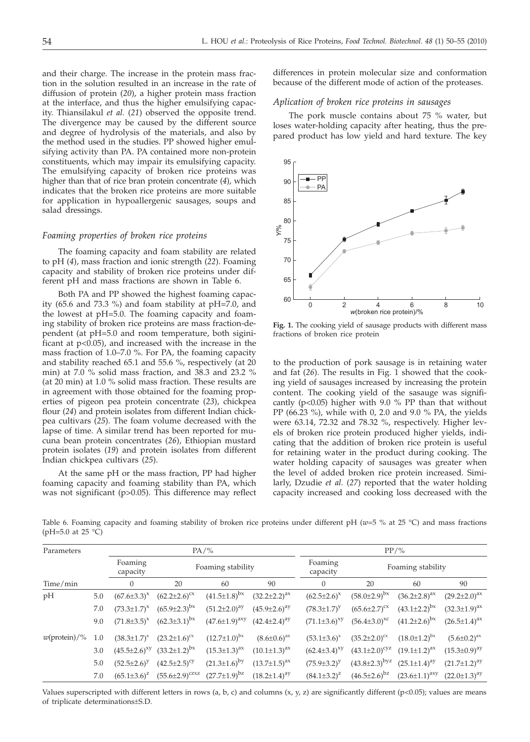and their charge. The increase in the protein mass fraction in the solution resulted in an increase in the rate of diffusion of protein (*20*), a higher protein mass fraction at the interface, and thus the higher emulsifying capacity. Thiansilakul *et al.* (*21*) observed the opposite trend. The divergence may be caused by the different source and degree of hydrolysis of the materials, and also by the method used in the studies. PP showed higher emulsifying activity than PA. PA contained more non-protein constituents, which may impair its emulsifying capacity. The emulsifying capacity of broken rice proteins was higher than that of rice bran protein concentrate (*4*), which indicates that the broken rice proteins are more suitable for application in hypoallergenic sausages, soups and salad dressings.

# *Foaming properties of broken rice proteins*

The foaming capacity and foam stability are related to pH (*4*), mass fraction and ionic strength (*22*). Foaming capacity and stability of broken rice proteins under different pH and mass fractions are shown in Table 6.

Both PA and PP showed the highest foaming capacity (65.6 and 73.3 %) and foam stability at pH=7.0, and the lowest at pH=5.0. The foaming capacity and foaming stability of broken rice proteins are mass fraction-dependent (at pH=5.0 and room temperature, both siginificant at p<0.05), and increased with the increase in the mass fraction of 1.0–7.0 %. For PA, the foaming capacity and stability reached 65.1 and 55.6 %, respectively (at 20 min) at 7.0 % solid mass fraction, and 38.3 and 23.2 % (at 20 min) at 1.0 % solid mass fraction. These results are in agreement with those obtained for the foaming properties of pigeon pea protein concentrate (*23*), chickpea flour (*24*) and protein isolates from different Indian chickpea cultivars (*25*). The foam volume decreased with the lapse of time. A similar trend has been reported for mucuna bean protein concentrates (*26*), Ethiopian mustard protein isolates (*19*) and protein isolates from different Indian chickpea cultivars (*25*).

At the same pH or the mass fraction, PP had higher foaming capacity and foaming stability than PA, which was not significant (p>0.05). This difference may reflect

differences in protein molecular size and conformation because of the different mode of action of the proteases.

#### *Aplication of broken rice proteins in sausages*

The pork muscle contains about 75 % water, but loses water-holding capacity after heating, thus the prepared product has low yield and hard texture. The key



**Fig. 1.** The cooking yield of sausage products with different mass fractions of broken rice protein

to the production of pork sausage is in retaining water and fat (*26*). The results in Fig. 1 showed that the cooking yield of sausages increased by increasing the protein content. The cooking yield of the sasauge was significantly ( $p<0.05$ ) higher with 9.0 % PP than that without PP (66.23 %), while with 0, 2.0 and 9.0 % PA, the yields were 63.14, 72.32 and 78.32 %, respectively. Higher levels of broken rice protein produced higher yields, indicating that the addition of broken rice protein is useful for retaining water in the product during cooking. The water holding capacity of sausages was greater when the level of added broken rice protein increased. Similarly, Dzudie *et al.* (*27*) reported that the water holding capacity increased and cooking loss decreased with the

Table 6. Foaming capacity and foaming stability of broken rice proteins under different pH (*w*=5 % at 25 °C) and mass fractions (pH=5.0 at 25 °C)

| Parameters             |     |                       | $PA/\%$                   |                        |                       | $PP/$ %               |                               |                        |                       |
|------------------------|-----|-----------------------|---------------------------|------------------------|-----------------------|-----------------------|-------------------------------|------------------------|-----------------------|
|                        |     | Foaming<br>capacity   | Foaming stability         |                        |                       | Foaming<br>capacity   | Foaming stability             |                        |                       |
| Time/min               |     | $\mathbf{0}$          | 20                        | 60                     | 90                    | $\overline{0}$        | 20                            | 60                     | 90                    |
| pH                     | 5.0 | $(67.6 \pm 3.3)^{x}$  | $(62.2 \pm 2.6)^{cx}$     | $(41.5 \pm 1.8)^{bx}$  | $(32.2 \pm 2.2)^{ax}$ | $(62.5 \pm 2.6)^{x}$  | $(58.0 \pm 2.9)^{bx}$         | $(36.2 \pm 2.8)^{ax}$  | $(29.2 \pm 2.0)^{ax}$ |
|                        | 7.0 | $(73.3 \pm 1.7)^{x}$  | $(65.9 \pm 2.3)^{bx}$     | $(51.2 \pm 2.0)^{ay}$  | $(45.9 \pm 2.6)^{dy}$ | $(78.3 \pm 1.7)^y$    | $(65.6 \pm 2.7)^{cx}$         | $(43.1 \pm 2.2)^{bx}$  | $(32.3 \pm 1.9)^{ax}$ |
|                        | 9.0 | $(71.8 \pm 3.5)^{x}$  | $(62.3 \pm 3.1)^{bx}$     | $(47.6{\pm}1.9)^{axy}$ | $(42.4 \pm 2.4)^{ay}$ | $(71.1\pm3.6)^{xy}$   | $(56.4 \pm 3.0)^{xc}$         | $(41.2\pm2.6)^{bx}$    | $(26.5 \pm 1.4)^{ax}$ |
| $w(\text{protein})/\%$ | 1.0 | $(38.3 \pm 1.7)^{x}$  | $(23.2 \pm 1.6)^{cx}$     | $(12.7 \pm 1.0)^{bx}$  | $(8.6 \pm 0.6)^{ax}$  | $(53.1 \pm 3.6)^{x}$  | $(35.2 \pm 2.0)^{cx}$         | $(18.0 \pm 1.2)^{bx}$  | $(5.6 \pm 0.2)^{ax}$  |
|                        | 3.0 | $(45.5 \pm 2.6)^{xy}$ | $(33.2 \pm 1.2)^{bx}$     | $(15.3 \pm 1.3)^{ax}$  | $(10.1 \pm 1.3)^{ax}$ | $(62.4 \pm 3.4)^{xy}$ | $(43.1 \pm 2.0)^{\text{cyz}}$ | $(19.1 \pm 1.2)^{ax}$  | $(15.3 \pm 0.9)^{ay}$ |
|                        | 5.0 | $(52.5 \pm 2.6)^y$    | $(42.5 \pm 2.5)^{\rm cy}$ | $(21.3 \pm 1.6)^{by}$  | $(13.7 \pm 1.5)^{ax}$ | $(75.9 \pm 3.2)^y$    | $(43.8\pm2.3)^{byz}$          | $(25.1 \pm 1.4)^{ay}$  | $(21.7 \pm 1.2)^{ay}$ |
|                        | 7.0 | $(65.1\pm3.6)^{z}$    | $(55.6 \pm 2.9)^{czxz}$   | $(27.7 \pm 1.9)^{bz}$  | $(18.2 \pm 1.4)^{ay}$ | $(84.1\pm3.2)^{z}$    | $(46.5 \pm 2.6)^{bz}$         | $(23.6 \pm 1.1)^{axy}$ | $(22.0 \pm 1.3)^{ay}$ |

Values superscripted with different letters in rows (a, b, c) and columns  $(x, y, z)$  are significantly different (p<0.05); values are means of triplicate determinations±S.D.